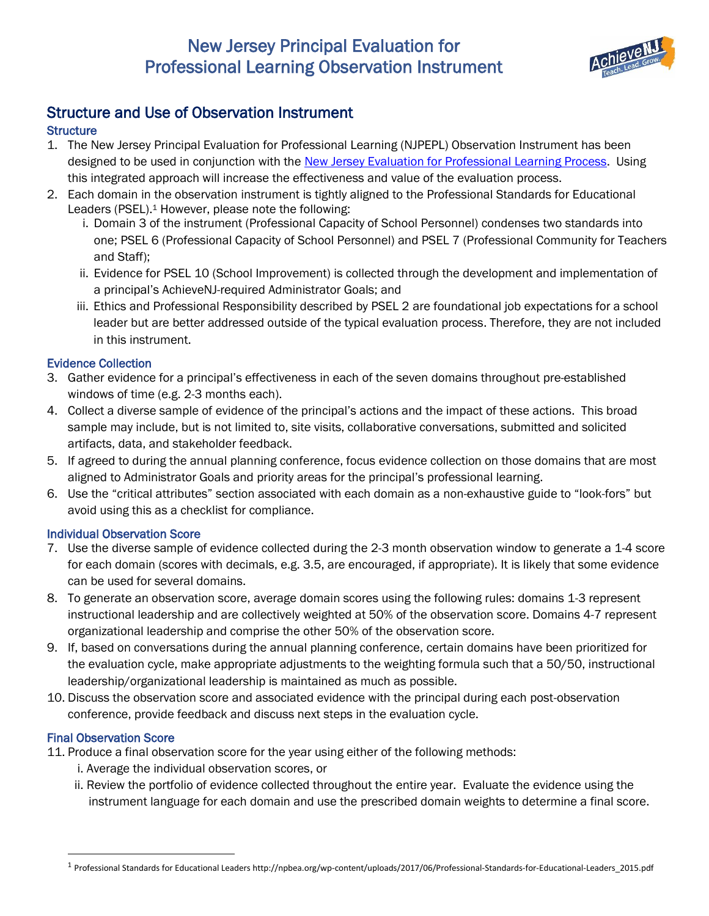# New Jersey Principal Evaluation for Professional Learning Observation Instrument



## Structure and Use of Observation Instrument

## **Structure**

- 1. The New Jersey Principal Evaluation for Professional Learning (NJPEPL) Observation Instrument has been designed to be used in conjunction with the [New Jersey Evaluation for Professional Learning Process.](http://highpoint.state.nj.us/education/AchieveNJ/principal/pl/Process.pdf) Using this integrated approach will increase the effectiveness and value of the evaluation process.
- 2. Each domain in the observation instrument is tightly aligned to the Professional Standards for Educational Leaders (PSEL). <sup>1</sup> However, please note the following:
	- i. Domain 3 of the instrument (Professional Capacity of School Personnel) condenses two standards into one; PSEL 6 (Professional Capacity of School Personnel) and PSEL 7 (Professional Community for Teachers and Staff);
	- ii. Evidence for PSEL 10 (School Improvement) is collected through the development and implementation of a principal's AchieveNJ-required Administrator Goals; and
	- iii. Ethics and Professional Responsibility described by PSEL 2 are foundational job expectations for a school leader but are better addressed outside of the typical evaluation process. Therefore, they are not included in this instrument.

## Evidence Collection

- 3. Gather evidence for a principal's effectiveness in each of the seven domains throughout pre-established windows of time (e.g. 2-3 months each).
- 4. Collect a diverse sample of evidence of the principal's actions and the impact of these actions. This broad sample may include, but is not limited to, site visits, collaborative conversations, submitted and solicited artifacts, data, and stakeholder feedback.
- 5. If agreed to during the annual planning conference, focus evidence collection on those domains that are most aligned to Administrator Goals and priority areas for the principal's professional learning.
- 6. Use the "critical attributes" section associated with each domain as a non-exhaustive guide to "look-fors" but avoid using this as a checklist for compliance.

## Individual Observation Score

- 7. Use the diverse sample of evidence collected during the 2-3 month observation window to generate a 1-4 score for each domain (scores with decimals, e.g. 3.5, are encouraged, if appropriate). It is likely that some evidence can be used for several domains.
- 8. To generate an observation score, average domain scores using the following rules: domains 1-3 represent instructional leadership and are collectively weighted at 50% of the observation score. Domains 4-7 represent organizational leadership and comprise the other 50% of the observation score.
- 9. If, based on conversations during the annual planning conference, certain domains have been prioritized for the evaluation cycle, make appropriate adjustments to the weighting formula such that a 50/50, instructional leadership/organizational leadership is maintained as much as possible.
- 10. Discuss the observation score and associated evidence with the principal during each post-observation conference, provide feedback and discuss next steps in the evaluation cycle.

## Final Observation Score

 $\overline{\phantom{a}}$ 

- 11. Produce a final observation score for the year using either of the following methods:
	- i. Average the individual observation scores, or
	- ii. Review the portfolio of evidence collected throughout the entire year. Evaluate the evidence using the instrument language for each domain and use the prescribed domain weights to determine a final score.

<sup>&</sup>lt;sup>1</sup> Professional Standards for Educational Leaders http://npbea.org/wp-content/uploads/2017/06/Professional-Standards-for-Educational-Leaders\_2015.pdf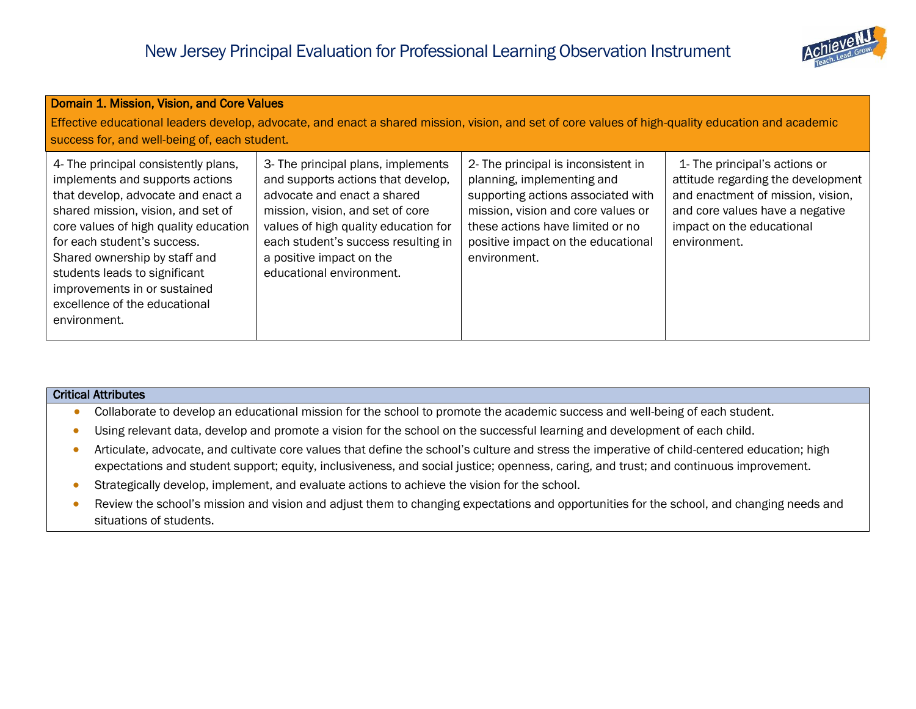

| Domain 1. Mission, Vision, and Core Values<br>Effective educational leaders develop, advocate, and enact a shared mission, vision, and set of core values of high-quality education and academic                                                                                                                                                                               |                                                                                                                                                                                                                                                                                    |                                                                                                                                                                                                                                         |                                                                                                                                                                                          |
|--------------------------------------------------------------------------------------------------------------------------------------------------------------------------------------------------------------------------------------------------------------------------------------------------------------------------------------------------------------------------------|------------------------------------------------------------------------------------------------------------------------------------------------------------------------------------------------------------------------------------------------------------------------------------|-----------------------------------------------------------------------------------------------------------------------------------------------------------------------------------------------------------------------------------------|------------------------------------------------------------------------------------------------------------------------------------------------------------------------------------------|
| success for, and well-being of, each student.                                                                                                                                                                                                                                                                                                                                  |                                                                                                                                                                                                                                                                                    |                                                                                                                                                                                                                                         |                                                                                                                                                                                          |
| 4- The principal consistently plans,<br>implements and supports actions<br>that develop, advocate and enact a<br>shared mission, vision, and set of<br>core values of high quality education<br>for each student's success.<br>Shared ownership by staff and<br>students leads to significant<br>improvements in or sustained<br>excellence of the educational<br>environment. | 3- The principal plans, implements<br>and supports actions that develop,<br>advocate and enact a shared<br>mission, vision, and set of core<br>values of high quality education for<br>each student's success resulting in<br>a positive impact on the<br>educational environment. | 2- The principal is inconsistent in<br>planning, implementing and<br>supporting actions associated with<br>mission, vision and core values or<br>these actions have limited or no<br>positive impact on the educational<br>environment. | 1- The principal's actions or<br>attitude regarding the development<br>and enactment of mission, vision,<br>and core values have a negative<br>impact on the educational<br>environment. |

- Collaborate to develop an educational mission for the school to promote the academic success and well-being of each student.
- Using relevant data, develop and promote a vision for the school on the successful learning and development of each child.
- Articulate, advocate, and cultivate core values that define the school's culture and stress the imperative of child-centered education; high expectations and student support; equity, inclusiveness, and social justice; openness, caring, and trust; and continuous improvement.
- Strategically develop, implement, and evaluate actions to achieve the vision for the school.
- Review the school's mission and vision and adjust them to changing expectations and opportunities for the school, and changing needs and situations of students.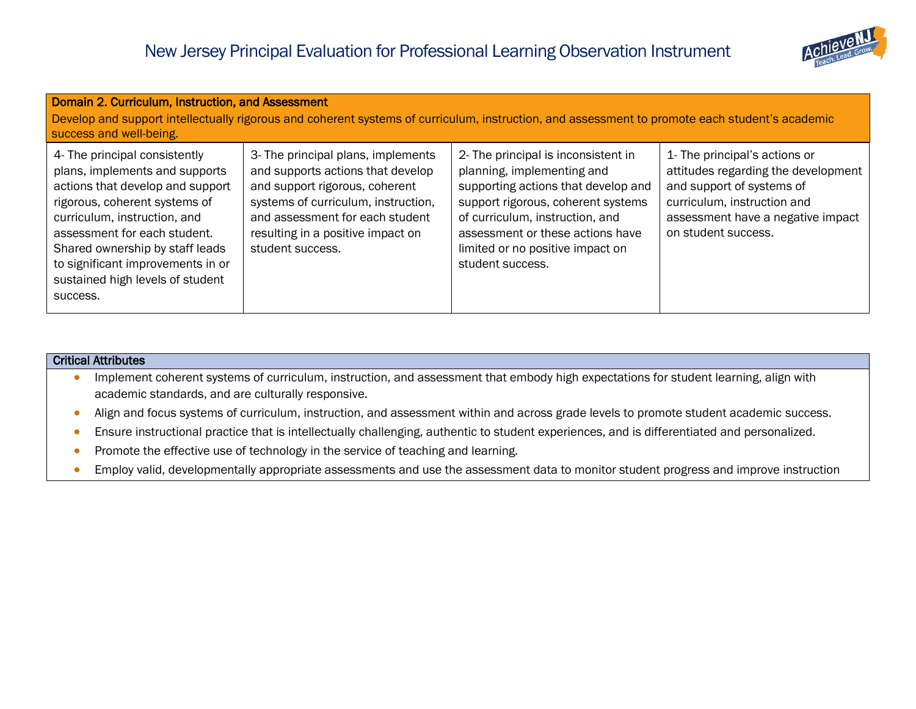

| Domain 2. Curriculum, Instruction, and Assessment<br>Develop and support intellectually rigorous and coherent systems of curriculum, instruction, and assessment to promote each student's academic<br>success and well-being.                                                                                               |                                                                                                                                                                                                                                              |                                                                                                                                                                                                                                                                               |                                                                                                                                                                                              |
|------------------------------------------------------------------------------------------------------------------------------------------------------------------------------------------------------------------------------------------------------------------------------------------------------------------------------|----------------------------------------------------------------------------------------------------------------------------------------------------------------------------------------------------------------------------------------------|-------------------------------------------------------------------------------------------------------------------------------------------------------------------------------------------------------------------------------------------------------------------------------|----------------------------------------------------------------------------------------------------------------------------------------------------------------------------------------------|
| 4- The principal consistently<br>plans, implements and supports<br>actions that develop and support<br>rigorous, coherent systems of<br>curriculum, instruction, and<br>assessment for each student.<br>Shared ownership by staff leads<br>to significant improvements in or<br>sustained high levels of student<br>success. | 3- The principal plans, implements<br>and supports actions that develop<br>and support rigorous, coherent<br>systems of curriculum, instruction,<br>and assessment for each student<br>resulting in a positive impact on<br>student success. | 2- The principal is inconsistent in<br>planning, implementing and<br>supporting actions that develop and<br>support rigorous, coherent systems<br>of curriculum, instruction, and<br>assessment or these actions have<br>limited or no positive impact on<br>student success. | 1- The principal's actions or<br>attitudes regarding the development<br>and support of systems of<br>curriculum, instruction and<br>assessment have a negative impact<br>on student success. |

- Implement coherent systems of curriculum, instruction, and assessment that embody high expectations for student learning, align with academic standards, and are culturally responsive.
- Align and focus systems of curriculum, instruction, and assessment within and across grade levels to promote student academic success.
- Ensure instructional practice that is intellectually challenging, authentic to student experiences, and is differentiated and personalized.
- Promote the effective use of technology in the service of teaching and learning.
- Employ valid, developmentally appropriate assessments and use the assessment data to monitor student progress and improve instruction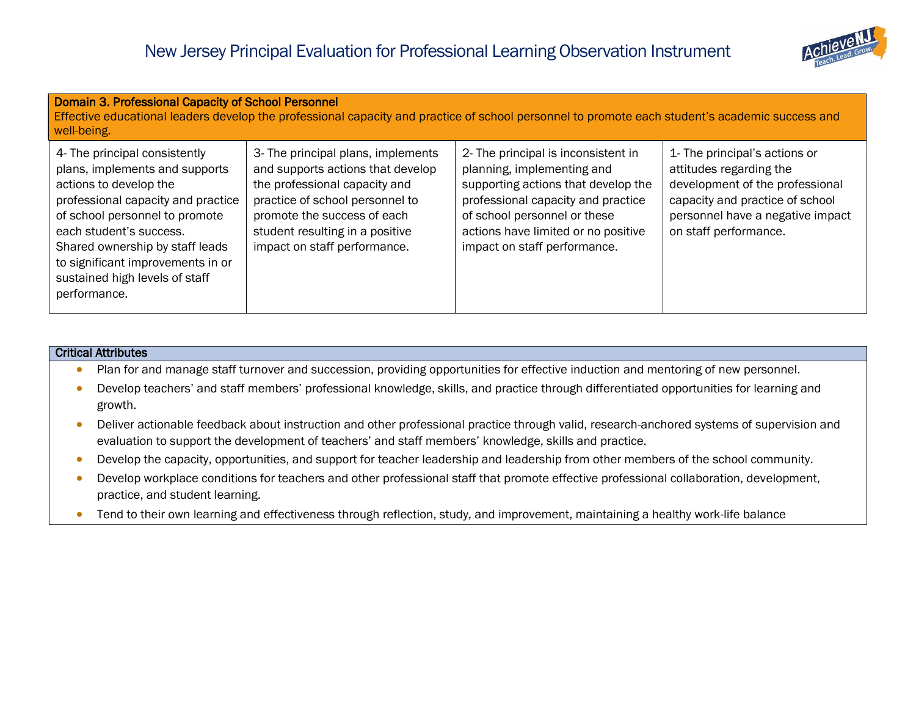

| Domain 3. Professional Capacity of School Personnel<br>Effective educational leaders develop the professional capacity and practice of school personnel to promote each student's academic success and<br>well-being.                                                                                                  |                                                                                                                                                                                                                                               |                                                                                                                                                                                                                                                       |                                                                                                                                                                                             |
|------------------------------------------------------------------------------------------------------------------------------------------------------------------------------------------------------------------------------------------------------------------------------------------------------------------------|-----------------------------------------------------------------------------------------------------------------------------------------------------------------------------------------------------------------------------------------------|-------------------------------------------------------------------------------------------------------------------------------------------------------------------------------------------------------------------------------------------------------|---------------------------------------------------------------------------------------------------------------------------------------------------------------------------------------------|
| 4- The principal consistently<br>plans, implements and supports<br>actions to develop the<br>professional capacity and practice<br>of school personnel to promote<br>each student's success.<br>Shared ownership by staff leads<br>to significant improvements in or<br>sustained high levels of staff<br>performance. | 3- The principal plans, implements<br>and supports actions that develop<br>the professional capacity and<br>practice of school personnel to<br>promote the success of each<br>student resulting in a positive<br>impact on staff performance. | 2- The principal is inconsistent in<br>planning, implementing and<br>supporting actions that develop the<br>professional capacity and practice<br>of school personnel or these<br>actions have limited or no positive<br>impact on staff performance. | 1- The principal's actions or<br>attitudes regarding the<br>development of the professional<br>capacity and practice of school<br>personnel have a negative impact<br>on staff performance. |

- Plan for and manage staff turnover and succession, providing opportunities for effective induction and mentoring of new personnel.
- Develop teachers' and staff members' professional knowledge, skills, and practice through differentiated opportunities for learning and growth.
- Deliver actionable feedback about instruction and other professional practice through valid, research-anchored systems of supervision and evaluation to support the development of teachers' and staff members' knowledge, skills and practice.
- Develop the capacity, opportunities, and support for teacher leadership and leadership from other members of the school community.
- Develop workplace conditions for teachers and other professional staff that promote effective professional collaboration, development, practice, and student learning.
- Tend to their own learning and effectiveness through reflection, study, and improvement, maintaining a healthy work-life balance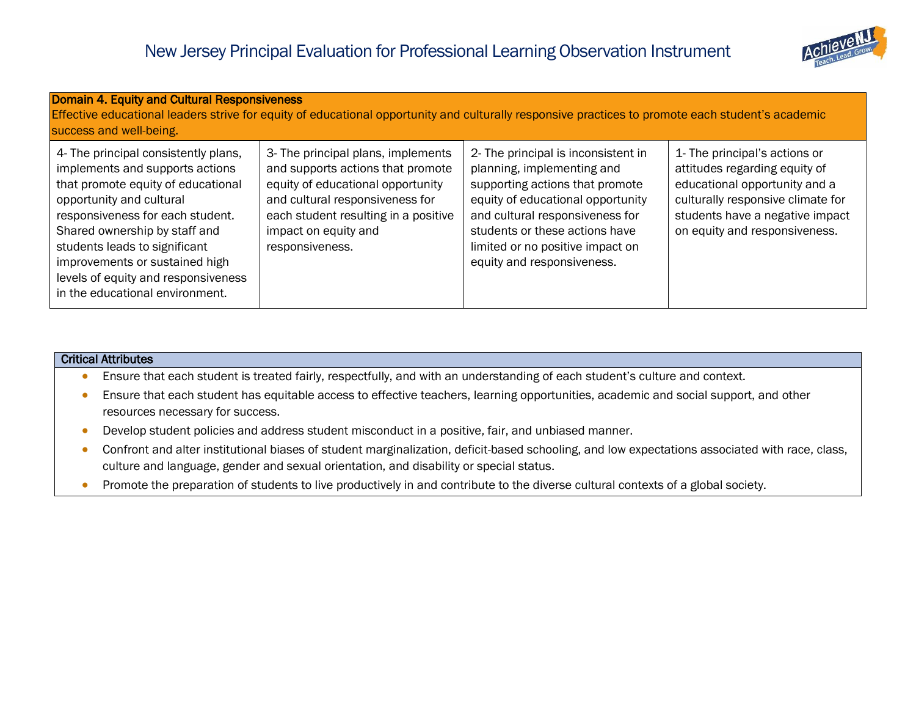

| <b>Domain 4. Equity and Cultural Responsiveness</b><br>Effective educational leaders strive for equity of educational opportunity and culturally responsive practices to promote each student's academic<br>success and well-being.                                                                                                                         |                                                                                                                                                                                                                                    |                                                                                                                                                                                                                                                                                  |                                                                                                                                                                                                          |
|-------------------------------------------------------------------------------------------------------------------------------------------------------------------------------------------------------------------------------------------------------------------------------------------------------------------------------------------------------------|------------------------------------------------------------------------------------------------------------------------------------------------------------------------------------------------------------------------------------|----------------------------------------------------------------------------------------------------------------------------------------------------------------------------------------------------------------------------------------------------------------------------------|----------------------------------------------------------------------------------------------------------------------------------------------------------------------------------------------------------|
| 4- The principal consistently plans,<br>implements and supports actions<br>that promote equity of educational<br>opportunity and cultural<br>responsiveness for each student.<br>Shared ownership by staff and<br>students leads to significant<br>improvements or sustained high<br>levels of equity and responsiveness<br>in the educational environment. | 3- The principal plans, implements<br>and supports actions that promote<br>equity of educational opportunity<br>and cultural responsiveness for<br>each student resulting in a positive<br>impact on equity and<br>responsiveness. | 2- The principal is inconsistent in<br>planning, implementing and<br>supporting actions that promote<br>equity of educational opportunity<br>and cultural responsiveness for<br>students or these actions have<br>limited or no positive impact on<br>equity and responsiveness. | 1- The principal's actions or<br>attitudes regarding equity of<br>educational opportunity and a<br>culturally responsive climate for<br>students have a negative impact<br>on equity and responsiveness. |

- Ensure that each student is treated fairly, respectfully, and with an understanding of each student's culture and context.
- Ensure that each student has equitable access to effective teachers, learning opportunities, academic and social support, and other resources necessary for success.
- Develop student policies and address student misconduct in a positive, fair, and unbiased manner.
- Confront and alter institutional biases of student marginalization, deficit-based schooling, and low expectations associated with race, class, culture and language, gender and sexual orientation, and disability or special status.
- Promote the preparation of students to live productively in and contribute to the diverse cultural contexts of a global society.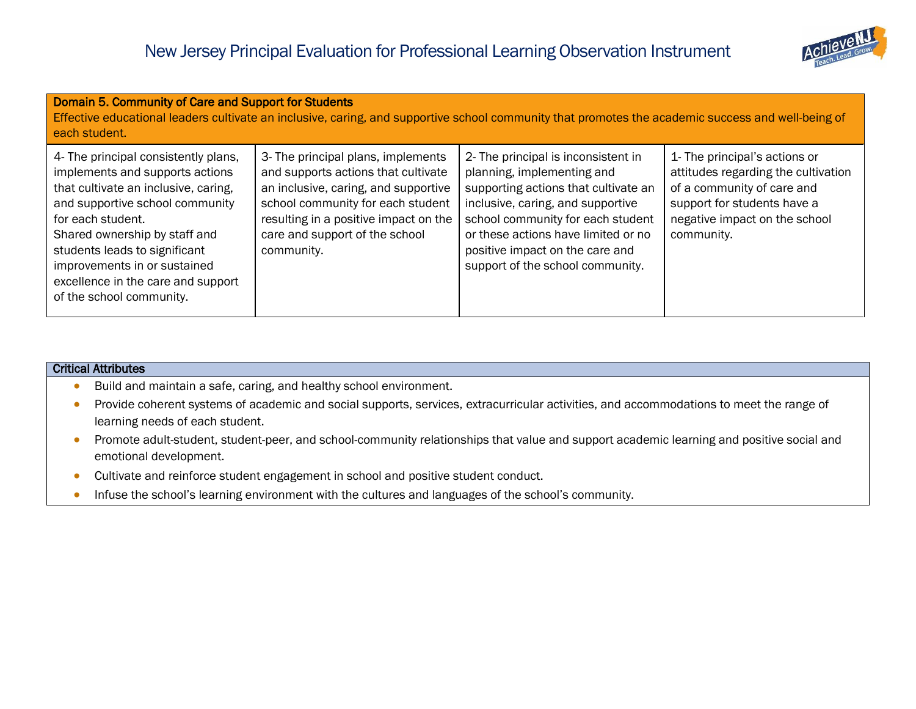

| Domain 5. Community of Care and Support for Students<br>Effective educational leaders cultivate an inclusive, caring, and supportive school community that promotes the academic success and well-being of<br>each student.                                                                                                                 |                                                                                                                                                                                                                                                 |                                                                                                                                                                                                                                                                                                   |                                                                                                                                                                                  |
|---------------------------------------------------------------------------------------------------------------------------------------------------------------------------------------------------------------------------------------------------------------------------------------------------------------------------------------------|-------------------------------------------------------------------------------------------------------------------------------------------------------------------------------------------------------------------------------------------------|---------------------------------------------------------------------------------------------------------------------------------------------------------------------------------------------------------------------------------------------------------------------------------------------------|----------------------------------------------------------------------------------------------------------------------------------------------------------------------------------|
| 4- The principal consistently plans,<br>implements and supports actions<br>that cultivate an inclusive, caring,<br>and supportive school community<br>for each student.<br>Shared ownership by staff and<br>students leads to significant<br>improvements in or sustained<br>excellence in the care and support<br>of the school community. | 3- The principal plans, implements<br>and supports actions that cultivate<br>an inclusive, caring, and supportive<br>school community for each student<br>resulting in a positive impact on the<br>care and support of the school<br>community. | 2- The principal is inconsistent in<br>planning, implementing and<br>supporting actions that cultivate an<br>inclusive, caring, and supportive<br>school community for each student<br>or these actions have limited or no<br>positive impact on the care and<br>support of the school community. | 1- The principal's actions or<br>attitudes regarding the cultivation<br>of a community of care and<br>support for students have a<br>negative impact on the school<br>community. |

- Build and maintain a safe, caring, and healthy school environment.
- Provide coherent systems of academic and social supports, services, extracurricular activities, and accommodations to meet the range of learning needs of each student.
- Promote adult-student, student-peer, and school-community relationships that value and support academic learning and positive social and emotional development.
- Cultivate and reinforce student engagement in school and positive student conduct.
- Infuse the school's learning environment with the cultures and languages of the school's community.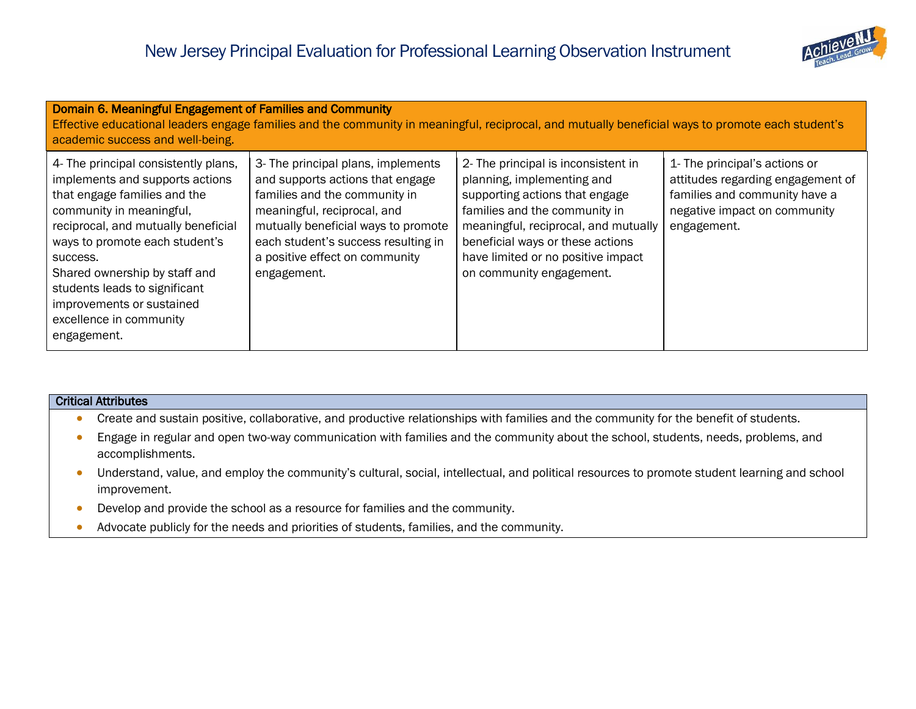

| Domain 6. Meaningful Engagement of Families and Community<br>Effective educational leaders engage families and the community in meaningful, reciprocal, and mutually beneficial ways to promote each student's<br>academic success and well-being.                                                                                                                |                                                                                                                                                                                                                                                                       |                                                                                                                                                                                                                                                                                    |                                                                                                                                                    |
|-------------------------------------------------------------------------------------------------------------------------------------------------------------------------------------------------------------------------------------------------------------------------------------------------------------------------------------------------------------------|-----------------------------------------------------------------------------------------------------------------------------------------------------------------------------------------------------------------------------------------------------------------------|------------------------------------------------------------------------------------------------------------------------------------------------------------------------------------------------------------------------------------------------------------------------------------|----------------------------------------------------------------------------------------------------------------------------------------------------|
| 4- The principal consistently plans,<br>implements and supports actions<br>that engage families and the<br>community in meaningful,<br>reciprocal, and mutually beneficial<br>ways to promote each student's<br>success.<br>Shared ownership by staff and<br>students leads to significant<br>improvements or sustained<br>excellence in community<br>engagement. | 3- The principal plans, implements<br>and supports actions that engage<br>families and the community in<br>meaningful, reciprocal, and<br>mutually beneficial ways to promote<br>each student's success resulting in<br>a positive effect on community<br>engagement. | 2- The principal is inconsistent in<br>planning, implementing and<br>supporting actions that engage<br>families and the community in<br>meaningful, reciprocal, and mutually<br>beneficial ways or these actions<br>have limited or no positive impact<br>on community engagement. | 1- The principal's actions or<br>attitudes regarding engagement of<br>families and community have a<br>negative impact on community<br>engagement. |

- **Create and sustain positive, collaborative, and productive relationships with families and the community for the benefit of students.**
- Engage in regular and open two-way communication with families and the community about the school, students, needs, problems, and accomplishments.
- Understand, value, and employ the community's cultural, social, intellectual, and political resources to promote student learning and school improvement.
- Develop and provide the school as a resource for families and the community.
- Advocate publicly for the needs and priorities of students, families, and the community.